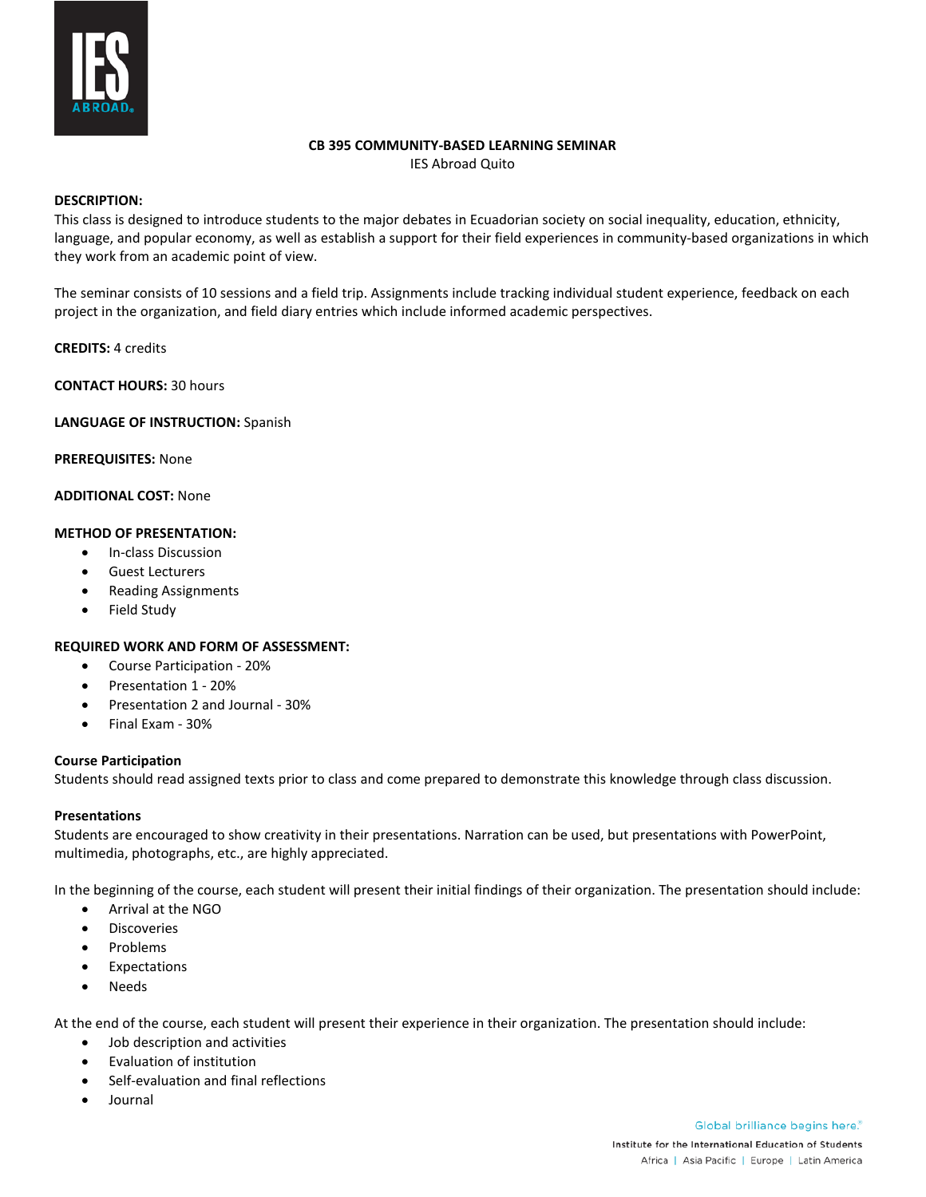

#### **CB 395 COMMUNITY-BASED LEARNING SEMINAR**

IES Abroad Quito

# **DESCRIPTION:**

This class is designed to introduce students to the major debates in Ecuadorian society on social inequality, education, ethnicity, language, and popular economy, as well as establish a support for their field experiences in community-based organizations in which they work from an academic point of view.

The seminar consists of 10 sessions and a field trip. Assignments include tracking individual student experience, feedback on each project in the organization, and field diary entries which include informed academic perspectives.

# **CREDITS:** 4 credits

**CONTACT HOURS:** 30 hours

### **LANGUAGE OF INSTRUCTION:** Spanish

**PREREQUISITES:** None

### **ADDITIONAL COST:** None

### **METHOD OF PRESENTATION:**

- In-class Discussion
- Guest Lecturers
- Reading Assignments
- Field Study

# **REQUIRED WORK AND FORM OF ASSESSMENT:**

- Course Participation 20%
- Presentation 1 20%
- Presentation 2 and Journal 30%
- Final Exam 30%

# **Course Participation**

Students should read assigned texts prior to class and come prepared to demonstrate this knowledge through class discussion.

#### **Presentations**

Students are encouraged to show creativity in their presentations. Narration can be used, but presentations with PowerPoint, multimedia, photographs, etc., are highly appreciated.

In the beginning of the course, each student will present their initial findings of their organization. The presentation should include:

- Arrival at the NGO
- Discoveries
- Problems
- **Expectations**
- Needs

At the end of the course, each student will present their experience in their organization. The presentation should include:

- Job description and activities
- Evaluation of institution
- Self-evaluation and final reflections
- Journal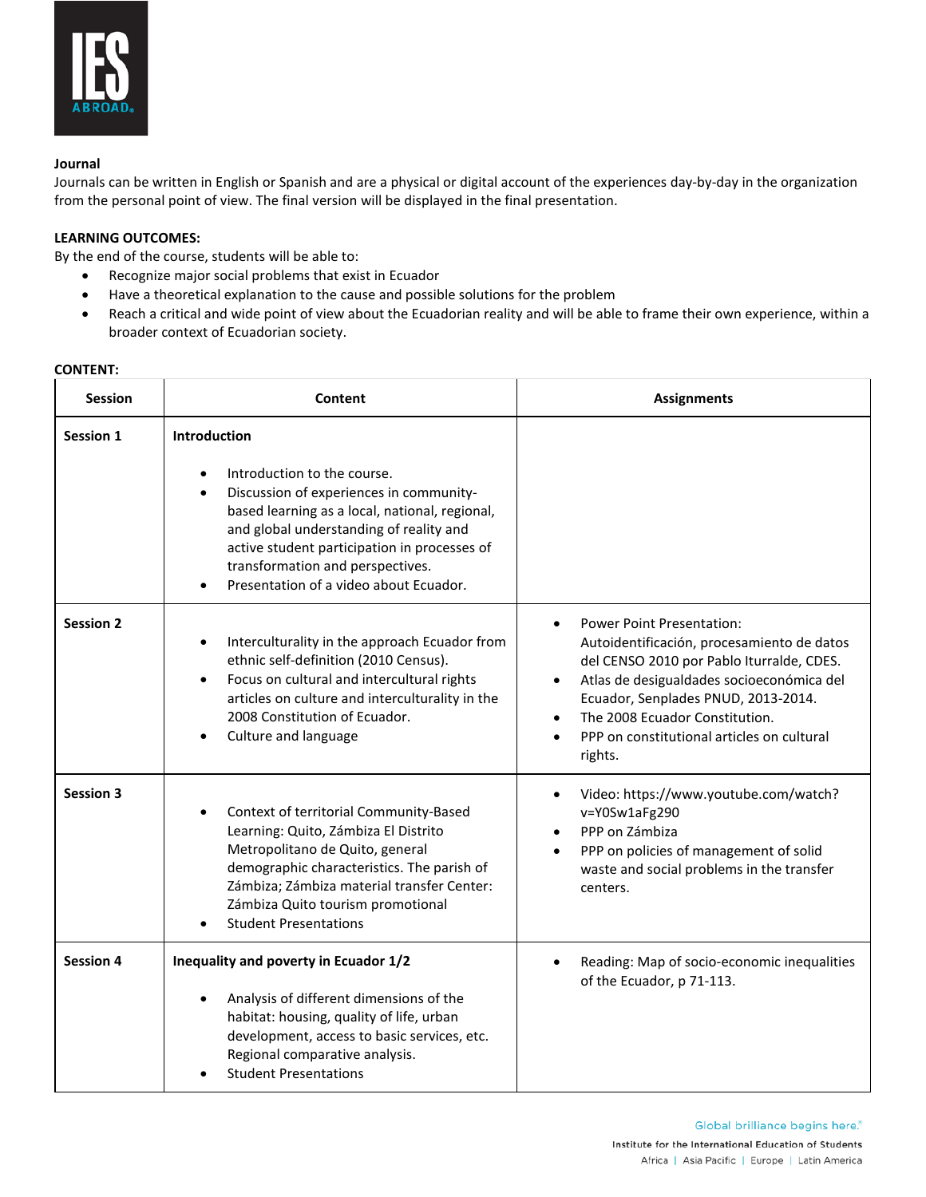

### **Journal**

Journals can be written in English or Spanish and are a physical or digital account of the experiences day-by-day in the organization from the personal point of view. The final version will be displayed in the final presentation.

# **LEARNING OUTCOMES:**

By the end of the course, students will be able to:

- Recognize major social problems that exist in Ecuador
- Have a theoretical explanation to the cause and possible solutions for the problem
- Reach a critical and wide point of view about the Ecuadorian reality and will be able to frame their own experience, within a broader context of Ecuadorian society.

#### **CONTENT:**

| <b>Session</b>   | Content                                                                                                                                                                                                                                                                                                        | <b>Assignments</b>                                                                                                                                                                                                                                                                                                      |
|------------------|----------------------------------------------------------------------------------------------------------------------------------------------------------------------------------------------------------------------------------------------------------------------------------------------------------------|-------------------------------------------------------------------------------------------------------------------------------------------------------------------------------------------------------------------------------------------------------------------------------------------------------------------------|
| <b>Session 1</b> | Introduction                                                                                                                                                                                                                                                                                                   |                                                                                                                                                                                                                                                                                                                         |
|                  | Introduction to the course.<br>Discussion of experiences in community-<br>$\bullet$<br>based learning as a local, national, regional,<br>and global understanding of reality and<br>active student participation in processes of<br>transformation and perspectives.<br>Presentation of a video about Ecuador. |                                                                                                                                                                                                                                                                                                                         |
| <b>Session 2</b> | Interculturality in the approach Ecuador from<br>$\bullet$<br>ethnic self-definition (2010 Census).<br>Focus on cultural and intercultural rights<br>$\bullet$<br>articles on culture and interculturality in the<br>2008 Constitution of Ecuador.<br>Culture and language                                     | <b>Power Point Presentation:</b><br>$\bullet$<br>Autoidentificación, procesamiento de datos<br>del CENSO 2010 por Pablo Iturralde, CDES.<br>Atlas de desigualdades socioeconómica del<br>Ecuador, Senplades PNUD, 2013-2014.<br>The 2008 Ecuador Constitution.<br>PPP on constitutional articles on cultural<br>rights. |
| <b>Session 3</b> | Context of territorial Community-Based<br>$\bullet$<br>Learning: Quito, Zámbiza El Distrito<br>Metropolitano de Quito, general<br>demographic characteristics. The parish of<br>Zámbiza; Zámbiza material transfer Center:<br>Zámbiza Quito tourism promotional<br><b>Student Presentations</b>                | Video: https://www.youtube.com/watch?<br>v=Y0Sw1aFg290<br>PPP on Zámbiza<br>PPP on policies of management of solid<br>waste and social problems in the transfer<br>centers.                                                                                                                                             |
| <b>Session 4</b> | Inequality and poverty in Ecuador 1/2<br>Analysis of different dimensions of the<br>habitat: housing, quality of life, urban<br>development, access to basic services, etc.<br>Regional comparative analysis.<br><b>Student Presentations</b>                                                                  | Reading: Map of socio-economic inequalities<br>of the Ecuador, p 71-113.                                                                                                                                                                                                                                                |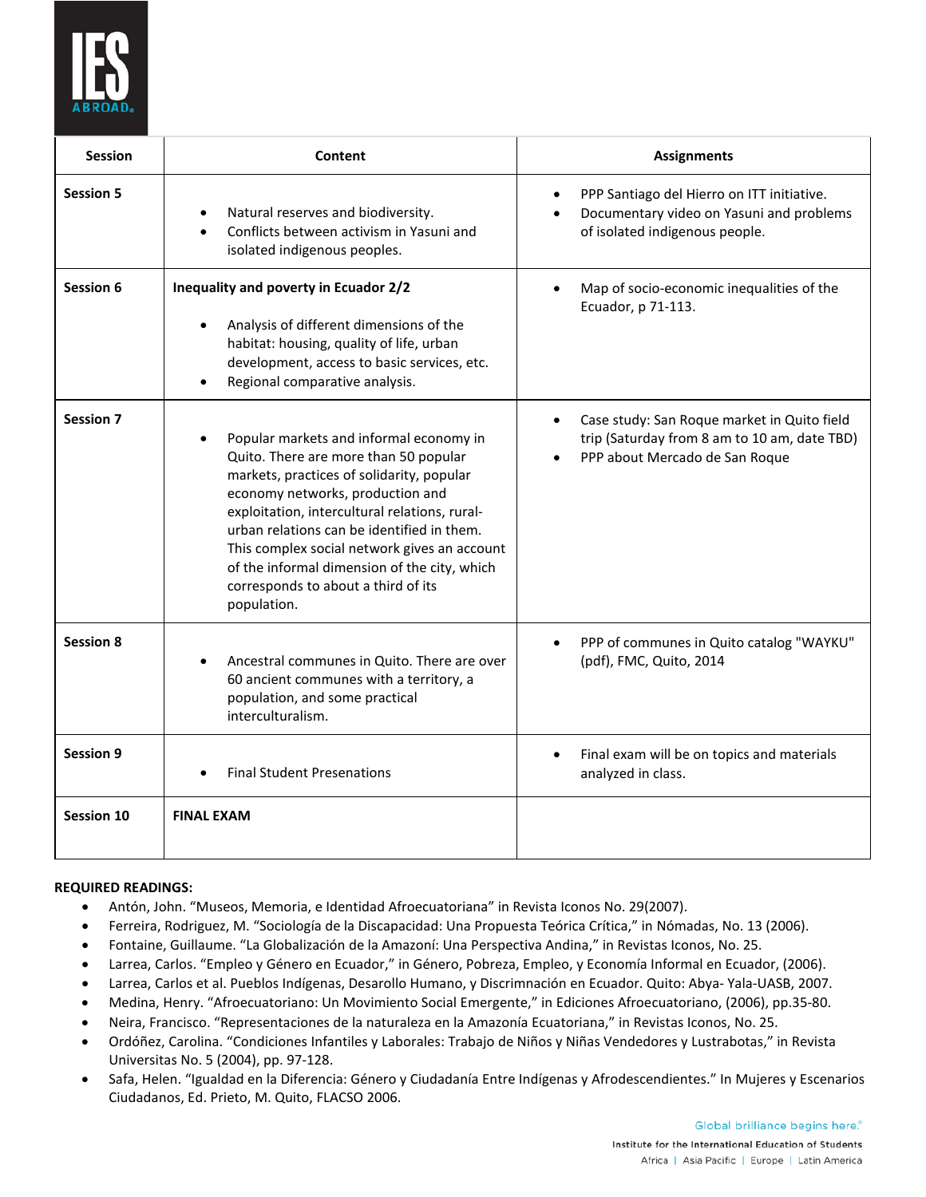

| Session           | Content                                                                                                                                                                                                                                                                                                                                                                                                                | <b>Assignments</b>                                                                                                            |
|-------------------|------------------------------------------------------------------------------------------------------------------------------------------------------------------------------------------------------------------------------------------------------------------------------------------------------------------------------------------------------------------------------------------------------------------------|-------------------------------------------------------------------------------------------------------------------------------|
| <b>Session 5</b>  | Natural reserves and biodiversity.<br>$\bullet$<br>Conflicts between activism in Yasuni and<br>$\bullet$<br>isolated indigenous peoples.                                                                                                                                                                                                                                                                               | PPP Santiago del Hierro on ITT initiative.<br>Documentary video on Yasuni and problems<br>of isolated indigenous people.      |
| Session 6         | Inequality and poverty in Ecuador 2/2<br>Analysis of different dimensions of the<br>habitat: housing, quality of life, urban<br>development, access to basic services, etc.<br>Regional comparative analysis.                                                                                                                                                                                                          | Map of socio-economic inequalities of the<br>Ecuador, p 71-113.                                                               |
| <b>Session 7</b>  | Popular markets and informal economy in<br>Quito. There are more than 50 popular<br>markets, practices of solidarity, popular<br>economy networks, production and<br>exploitation, intercultural relations, rural-<br>urban relations can be identified in them.<br>This complex social network gives an account<br>of the informal dimension of the city, which<br>corresponds to about a third of its<br>population. | Case study: San Roque market in Quito field<br>trip (Saturday from 8 am to 10 am, date TBD)<br>PPP about Mercado de San Roque |
| <b>Session 8</b>  | Ancestral communes in Quito. There are over<br>60 ancient communes with a territory, a<br>population, and some practical<br>interculturalism.                                                                                                                                                                                                                                                                          | PPP of communes in Quito catalog "WAYKU"<br>(pdf), FMC, Quito, 2014                                                           |
| <b>Session 9</b>  | <b>Final Student Presenations</b>                                                                                                                                                                                                                                                                                                                                                                                      | Final exam will be on topics and materials<br>analyzed in class.                                                              |
| <b>Session 10</b> | <b>FINAL EXAM</b>                                                                                                                                                                                                                                                                                                                                                                                                      |                                                                                                                               |

# **REQUIRED READINGS:**

- Antón, John. "Museos, Memoria, e Identidad Afroecuatoriana" in Revista Iconos No. 29(2007).
- Ferreira, Rodriguez, M. "Sociología de la Discapacidad: Una Propuesta Teórica Crítica," in Nómadas, No. 13 (2006).
- Fontaine, Guillaume. "La Globalización de la Amazoní: Una Perspectiva Andina," in Revistas Iconos, No. 25.
- Larrea, Carlos. "Empleo y Género en Ecuador," in Género, Pobreza, Empleo, y Economía Informal en Ecuador, (2006).
- Larrea, Carlos et al. Pueblos Indígenas, Desarollo Humano, y Discrimnación en Ecuador. Quito: Abya- Yala-UASB, 2007.
- Medina, Henry. "Afroecuatoriano: Un Movimiento Social Emergente," in Ediciones Afroecuatoriano, (2006), pp.35-80.
- Neira, Francisco. "Representaciones de la naturaleza en la Amazonía Ecuatoriana," in Revistas Iconos, No. 25.
- Ordóñez, Carolina. "Condiciones Infantiles y Laborales: Trabajo de Niños y Niñas Vendedores y Lustrabotas," in Revista Universitas No. 5 (2004), pp. 97-128.
- Safa, Helen. "Igualdad en la Diferencia: Género y Ciudadanía Entre Indígenas y Afrodescendientes." In Mujeres y Escenarios Ciudadanos, Ed. Prieto, M. Quito, FLACSO 2006.